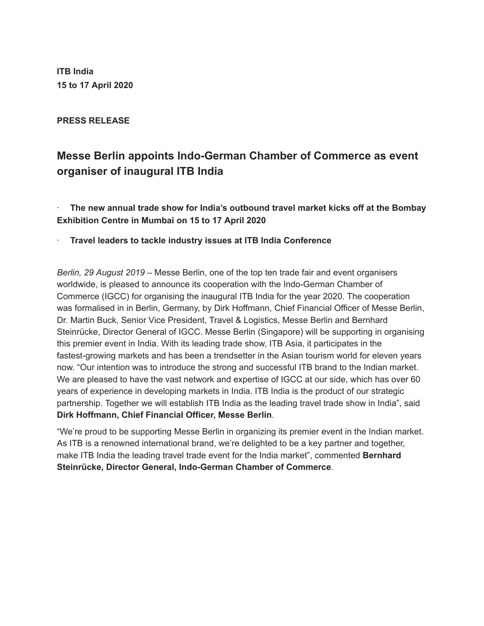**ITB India 15 to 17 April 2020**

**PRESS RELEASE**

# **Messe Berlin appoints Indo-German Chamber of Commerce as event organiser of inaugural ITB India**

· **The new annual trade show for India's outbound travel market kicks off at the Bombay Exhibition Centre in Mumbai on 15 to 17 April 2020**

## · **Travel leaders to tackle industry issues at ITB India Conference**

*Berlin, 29 August 2019 –* Messe Berlin, one of the top ten trade fair and event organisers worldwide, is pleased to announce its cooperation with the Indo-German Chamber of Commerce (IGCC) for organising the inaugural ITB India for the year 2020. The cooperation was formalised in in Berlin, Germany, by Dirk Hoffmann, Chief Financial Officer of Messe Berlin, Dr. Martin Buck, Senior Vice President, Travel & Logistics, Messe Berlin and Bernhard Steinrücke, Director General of IGCC. Messe Berlin (Singapore) will be supporting in organising this premier event in India. With its leading trade show, ITB Asia, it participates in the fastest-growing markets and has been a trendsetter in the Asian tourism world for eleven years now. "Our intention was to introduce the strong and successful ITB brand to the Indian market. We are pleased to have the vast network and expertise of IGCC at our side, which has over 60 years of experience in developing markets in India. ITB India is the product of our strategic partnership. Together we will establish ITB India as the leading travel trade show in India", said **Dirk Hoffmann, Chief Financial Officer, Messe Berlin**.

"We're proud to be supporting Messe Berlin in organizing its premier event in the Indian market. As ITB is a renowned international brand, we're delighted to be a key partner and together, make ITB India the leading travel trade event for the India market", commented **Bernhard Steinrücke, Director General, Indo-German Chamber of Commerce**.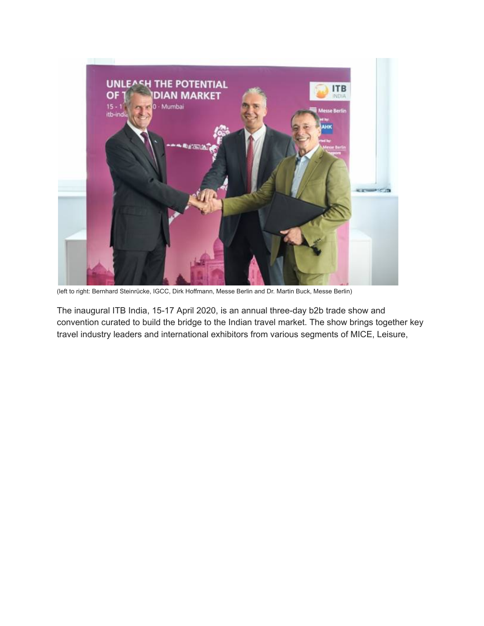

(left to right: Bernhard Steinrücke, IGCC, Dirk Hoffmann, Messe Berlin and Dr. Martin Buck, Messe Berlin)

The inaugural ITB India, 15-17 April 2020, is an annual three-day b2b trade show and convention curated to build the bridge to the Indian travel market. The show brings together key travel industry leaders and international exhibitors from various segments of MICE, Leisure,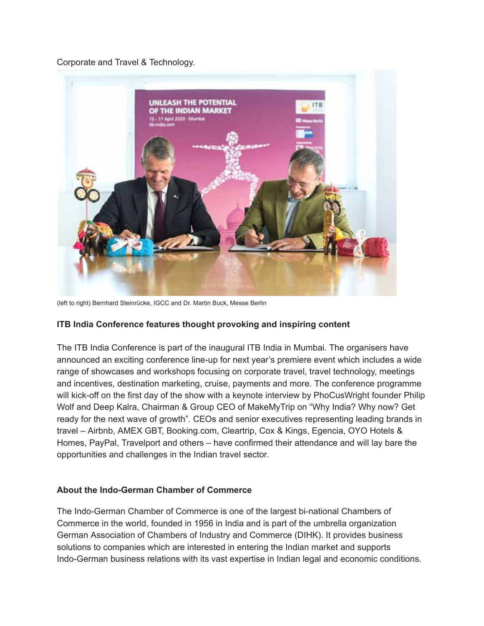Corporate and Travel & Technology.



(left to right) Bernhard Steinrücke, IGCC and Dr. Martin Buck, Messe Berlin

# **ITB India Conference features thought provoking and inspiring content**

The ITB India Conference is part of the inaugural ITB India in Mumbai. The organisers have announced an exciting conference line-up for next year's premiere event which includes a wide range of showcases and workshops focusing on corporate travel, travel technology, meetings and incentives, destination marketing, cruise, payments and more. The conference programme will kick-off on the first day of the show with a keynote interview by PhoCusWright founder Philip Wolf and Deep Kalra, Chairman & Group CEO of MakeMyTrip on "Why India? Why now? Get ready for the next wave of growth". CEOs and senior executives representing leading brands in travel – Airbnb, AMEX GBT, Booking.com, Cleartrip, Cox & Kings, Egencia, OYO Hotels & Homes, PayPal, Travelport and others – have confirmed their attendance and will lay bare the opportunities and challenges in the Indian travel sector.

### **About the Indo-German Chamber of Commerce**

The Indo-German Chamber of Commerce is one of the largest bi-national Chambers of Commerce in the world, founded in 1956 in India and is part of the umbrella organization German Association of Chambers of Industry and Commerce (DIHK). It provides business solutions to companies which are interested in entering the Indian market and supports Indo-German business relations with its vast expertise in Indian legal and economic conditions.